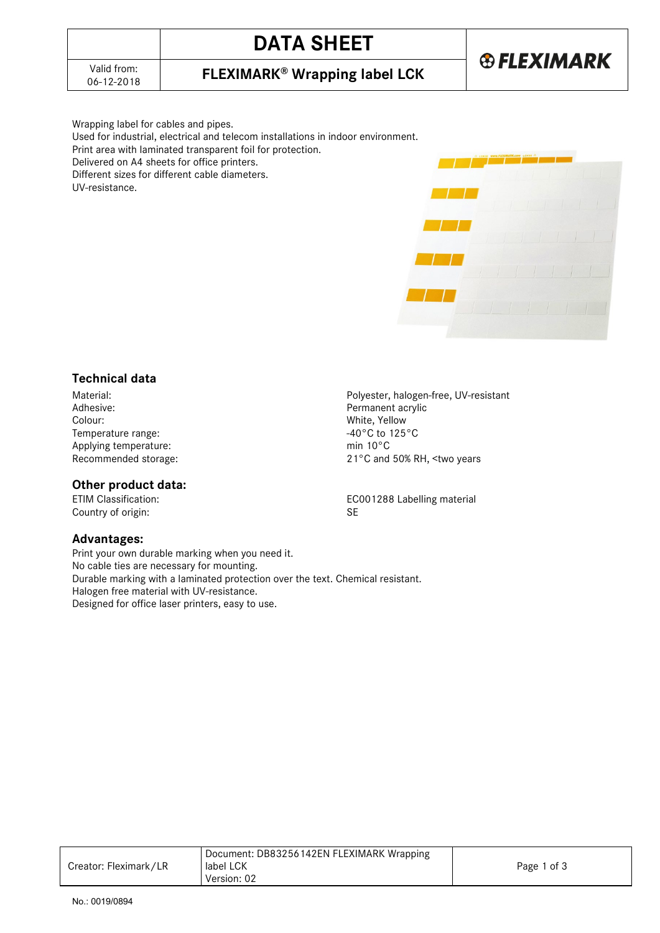# **DATA SHEET**

## **®FLEXIMARK**

06-12-2018 **FLEXIMARK® Wrapping label LCK**

Wrapping label for cables and pipes. Used for industrial, electrical and telecom installations in indoor environment. Print area with laminated transparent foil for protection. Delivered on A4 sheets for office printers. Different sizes for different cable diameters. UV-resistance.



### **Technical data**

Colour: White, Yellow White, Yellow 2014<br>Temperature range: The Colour Colour:  $40^{\circ}$ C to 125°C Temperature range:  $-40^{\circ}$ C to  $-40^{\circ}$ C to 125°C to 125°C to 125°C to 125°C to 125°C to 125°C to 125°C to 125°C to 125°C to 125°C to 125°C to 125°C to 125°C to 125°C to 125°C to 125°C to 125°C to 125°C to 125°C to 125° Applying temperature:<br>Recommended storage:

#### **Other product data:**

Country of origin: SE

#### **Advantages:**

Print your own durable marking when you need it. No cable ties are necessary for mounting. Durable marking with a laminated protection over the text. Chemical resistant. Halogen free material with UV-resistance. Designed for office laser printers, easy to use.

Material: example and the material: Polyester, halogen-free, UV-resistant<br>
Adhesive: example a permanent acrylic Permanent acrylic 21°C and 50% RH, <two years

ETIM Classification: EC001288 Labelling material

|                       | Document: DB83256142EN FLEXIMARK Wrapping |             |
|-----------------------|-------------------------------------------|-------------|
| Creator: Fleximark/LR | label LCK                                 | Page 1 of 3 |
|                       | Version: 02                               |             |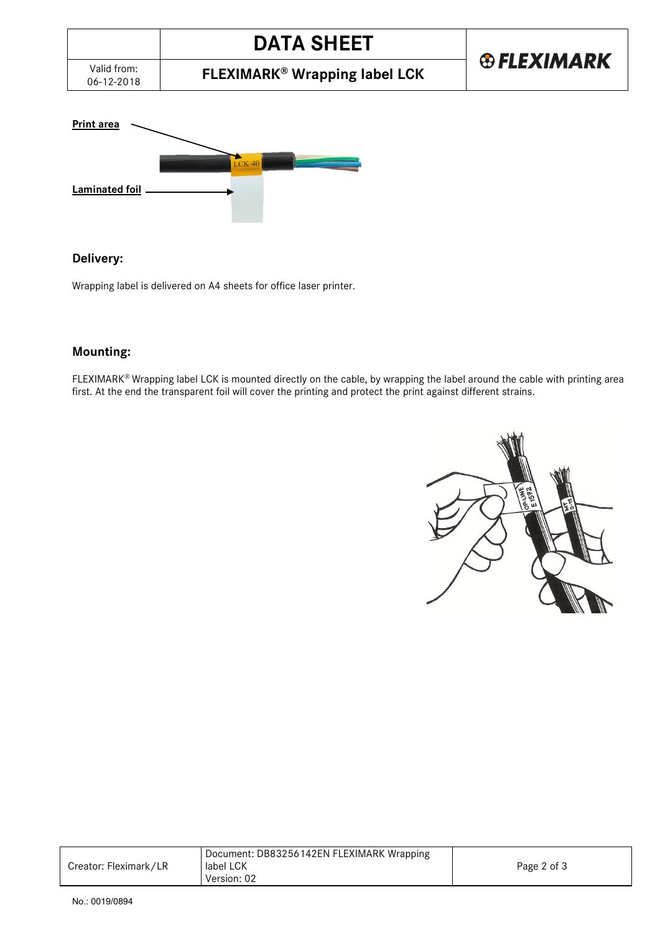06-12-2018 **FLEXIMARK® Wrapping label LCK**



### **Delivery:**

Wrapping label is delivered on A4 sheets for office laser printer.

### **Mounting:**

FLEXIMARK® Wrapping label LCK is mounted directly on the cable, by wrapping the label around the cable with printing area first. At the end the transparent foil will cover the printing and protect the print against different strains.



|                       | I Document: DB83256142EN FLEXIMARK Wrapping |             |  |  |
|-----------------------|---------------------------------------------|-------------|--|--|
| Creator: Fleximark/LR | label LCK                                   | Page 2 of 3 |  |  |
|                       | Version: 02                                 |             |  |  |